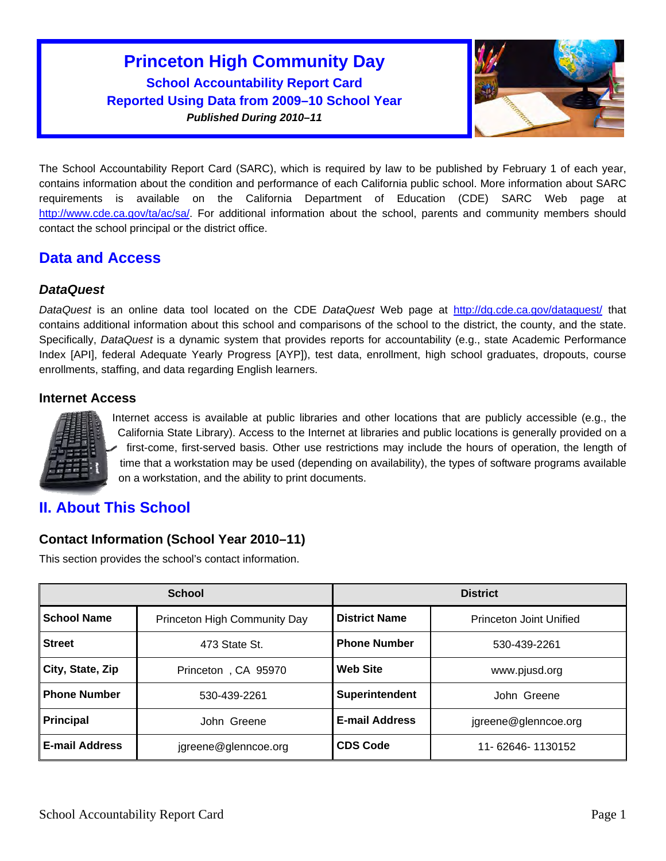# **Princeton High Community Day School Accountability Report Card Reported Using Data from 2009–10 School Year**  *Published During 2010–11*



The School Accountability Report Card (SARC), which is required by law to be published by February 1 of each year, contains information about the condition and performance of each California public school. More information about SARC requirements is available on the California Department of Education (CDE) SARC Web page at <http://www.cde.ca.gov/ta/ac/sa/>. For additional information about the school, parents and community members should contact the school principal or the district office.

## **Data and Access**

## *DataQuest*

*DataQuest* is an online data tool located on the CDE *DataQuest* Web page at <http://dq.cde.ca.gov/dataquest/>that contains additional information about this school and comparisons of the school to the district, the county, and the state. Specifically, *DataQuest* is a dynamic system that provides reports for accountability (e.g., state Academic Performance Index [API], federal Adequate Yearly Progress [AYP]), test data, enrollment, high school graduates, dropouts, course enrollments, staffing, and data regarding English learners.

### **Internet Access**



Internet access is available at public libraries and other locations that are publicly accessible (e.g., the California State Library). Access to the Internet at libraries and public locations is generally provided on a first-come, first-served basis. Other use restrictions may include the hours of operation, the length of time that a workstation may be used (depending on availability), the types of software programs available on a workstation, and the ability to print documents.

# **II. About This School**

## **Contact Information (School Year 2010–11)**

This section provides the school's contact information.

|                       | <b>School</b>                | <b>District</b>       |                         |  |
|-----------------------|------------------------------|-----------------------|-------------------------|--|
| <b>School Name</b>    | Princeton High Community Day | <b>District Name</b>  | Princeton Joint Unified |  |
| <b>Street</b>         | 473 State St.                | <b>Phone Number</b>   | 530-439-2261            |  |
| City, State, Zip      | Princeton, CA 95970          | <b>Web Site</b>       | www.pjusd.org           |  |
| <b>Phone Number</b>   | 530-439-2261                 | Superintendent        | John Greene             |  |
| <b>Principal</b>      | John Greene                  | <b>E-mail Address</b> | jgreene@glenncoe.org    |  |
| <b>E-mail Address</b> | jgreene@glenncoe.org         | <b>CDS Code</b>       | 11- 62646- 1130152      |  |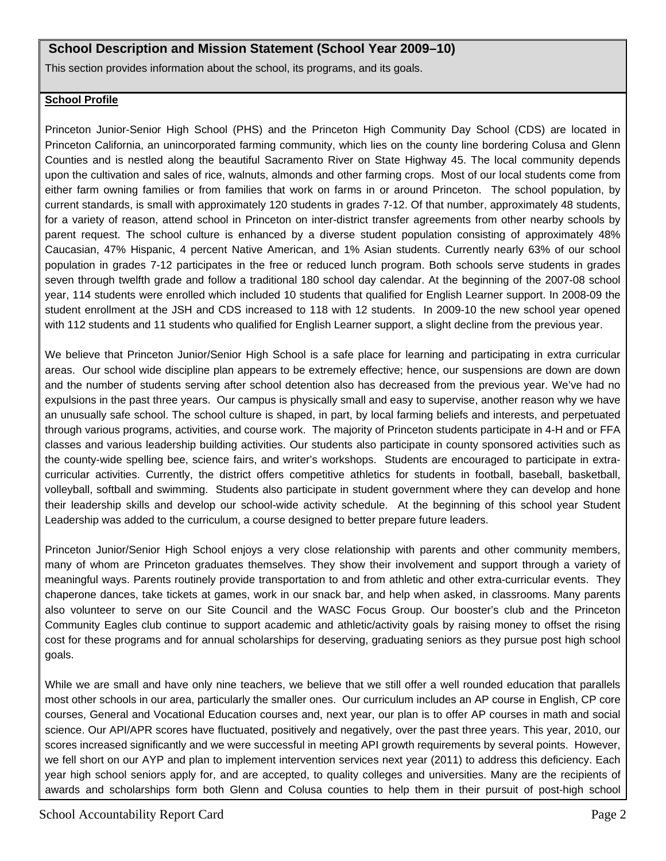### **School Description and Mission Statement (School Year 2009–10)**

This section provides information about the school, its programs, and its goals.

#### **School Profile**

Princeton Junior-Senior High School (PHS) and the Princeton High Community Day School (CDS) are located in Princeton California, an unincorporated farming community, which lies on the county line bordering Colusa and Glenn Counties and is nestled along the beautiful Sacramento River on State Highway 45. The local community depends upon the cultivation and sales of rice, walnuts, almonds and other farming crops. Most of our local students come from either farm owning families or from families that work on farms in or around Princeton. The school population, by current standards, is small with approximately 120 students in grades 7-12. Of that number, approximately 48 students, for a variety of reason, attend school in Princeton on inter-district transfer agreements from other nearby schools by parent request. The school culture is enhanced by a diverse student population consisting of approximately 48% Caucasian, 47% Hispanic, 4 percent Native American, and 1% Asian students. Currently nearly 63% of our school population in grades 7-12 participates in the free or reduced lunch program. Both schools serve students in grades seven through twelfth grade and follow a traditional 180 school day calendar. At the beginning of the 2007-08 school year, 114 students were enrolled which included 10 students that qualified for English Learner support. In 2008-09 the student enrollment at the JSH and CDS increased to 118 with 12 students. In 2009-10 the new school year opened with 112 students and 11 students who qualified for English Learner support, a slight decline from the previous year.

We believe that Princeton Junior/Senior High School is a safe place for learning and participating in extra curricular areas. Our school wide discipline plan appears to be extremely effective; hence, our suspensions are down are down and the number of students serving after school detention also has decreased from the previous year. We've had no expulsions in the past three years. Our campus is physically small and easy to supervise, another reason why we have an unusually safe school. The school culture is shaped, in part, by local farming beliefs and interests, and perpetuated through various programs, activities, and course work. The majority of Princeton students participate in 4-H and or FFA classes and various leadership building activities. Our students also participate in county sponsored activities such as the county-wide spelling bee, science fairs, and writer's workshops. Students are encouraged to participate in extracurricular activities. Currently, the district offers competitive athletics for students in football, baseball, basketball, volleyball, softball and swimming. Students also participate in student government where they can develop and hone their leadership skills and develop our school-wide activity schedule. At the beginning of this school year Student Leadership was added to the curriculum, a course designed to better prepare future leaders.

Princeton Junior/Senior High School enjoys a very close relationship with parents and other community members, many of whom are Princeton graduates themselves. They show their involvement and support through a variety of meaningful ways. Parents routinely provide transportation to and from athletic and other extra-curricular events. They chaperone dances, take tickets at games, work in our snack bar, and help when asked, in classrooms. Many parents also volunteer to serve on our Site Council and the WASC Focus Group. Our booster's club and the Princeton Community Eagles club continue to support academic and athletic/activity goals by raising money to offset the rising cost for these programs and for annual scholarships for deserving, graduating seniors as they pursue post high school goals.

While we are small and have only nine teachers, we believe that we still offer a well rounded education that parallels most other schools in our area, particularly the smaller ones. Our curriculum includes an AP course in English, CP core courses, General and Vocational Education courses and, next year, our plan is to offer AP courses in math and social science. Our API/APR scores have fluctuated, positively and negatively, over the past three years. This year, 2010, our scores increased significantly and we were successful in meeting API growth requirements by several points. However, we fell short on our AYP and plan to implement intervention services next year (2011) to address this deficiency. Each year high school seniors apply for, and are accepted, to quality colleges and universities. Many are the recipients of awards and scholarships form both Glenn and Colusa counties to help them in their pursuit of post-high school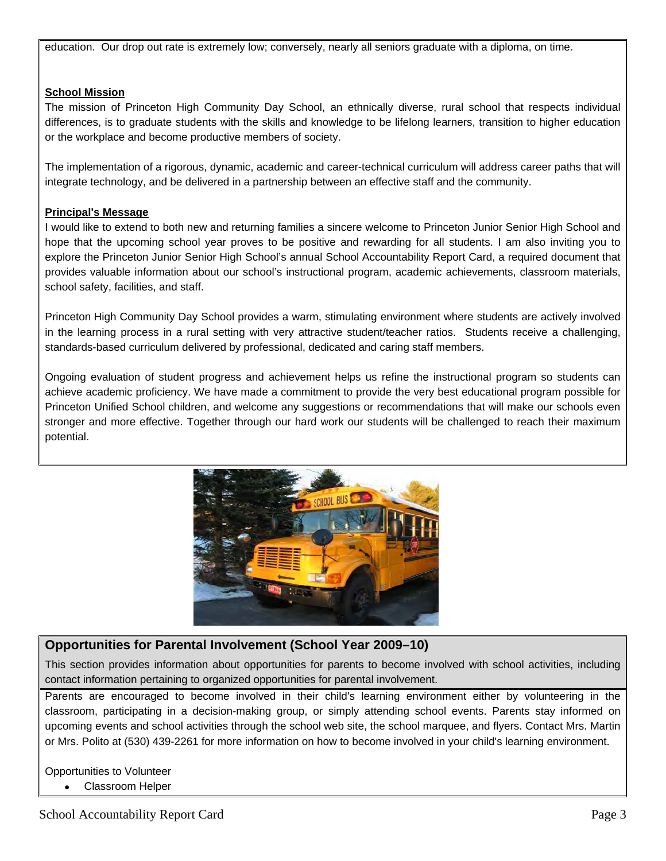education. Our drop out rate is extremely low; conversely, nearly all seniors graduate with a diploma, on time.

#### **School Mission**

The mission of Princeton High Community Day School, an ethnically diverse, rural school that respects individual differences, is to graduate students with the skills and knowledge to be lifelong learners, transition to higher education or the workplace and become productive members of society.

The implementation of a rigorous, dynamic, academic and career-technical curriculum will address career paths that will integrate technology, and be delivered in a partnership between an effective staff and the community.

#### **Principal's Message**

I would like to extend to both new and returning families a sincere welcome to Princeton Junior Senior High School and hope that the upcoming school year proves to be positive and rewarding for all students. I am also inviting you to explore the Princeton Junior Senior High School's annual School Accountability Report Card, a required document that provides valuable information about our school's instructional program, academic achievements, classroom materials, school safety, facilities, and staff.

Princeton High Community Day School provides a warm, stimulating environment where students are actively involved in the learning process in a rural setting with very attractive student/teacher ratios. Students receive a challenging, standards-based curriculum delivered by professional, dedicated and caring staff members.

Ongoing evaluation of student progress and achievement helps us refine the instructional program so students can achieve academic proficiency. We have made a commitment to provide the very best educational program possible for Princeton Unified School children, and welcome any suggestions or recommendations that will make our schools even stronger and more effective. Together through our hard work our students will be challenged to reach their maximum potential.



## **Opportunities for Parental Involvement (School Year 2009–10)**

This section provides information about opportunities for parents to become involved with school activities, including contact information pertaining to organized opportunities for parental involvement.

Parents are encouraged to become involved in their child's learning environment either by volunteering in the classroom, participating in a decision-making group, or simply attending school events. Parents stay informed on upcoming events and school activities through the school web site, the school marquee, and flyers. Contact Mrs. Martin or Mrs. Polito at (530) 439-2261 for more information on how to become involved in your child's learning environment.

Opportunities to Volunteer Classroom Helper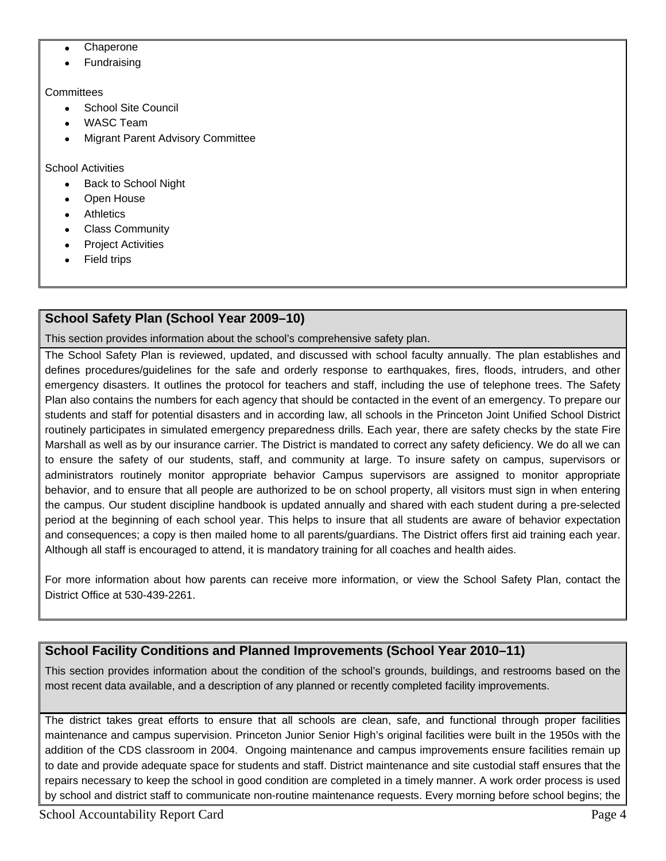- Chaperone
- Fundraising

#### **Committees**

- School Site Council
- WASC Team
- Migrant Parent Advisory Committee

School Activities

- Back to School Night
- Open House
- Athletics
- Class Community
- Project Activities
- Field trips

## **School Safety Plan (School Year 2009–10)**

This section provides information about the school's comprehensive safety plan.

The School Safety Plan is reviewed, updated, and discussed with school faculty annually. The plan establishes and defines procedures/guidelines for the safe and orderly response to earthquakes, fires, floods, intruders, and other emergency disasters. It outlines the protocol for teachers and staff, including the use of telephone trees. The Safety Plan also contains the numbers for each agency that should be contacted in the event of an emergency. To prepare our students and staff for potential disasters and in according law, all schools in the Princeton Joint Unified School District routinely participates in simulated emergency preparedness drills. Each year, there are safety checks by the state Fire Marshall as well as by our insurance carrier. The District is mandated to correct any safety deficiency. We do all we can to ensure the safety of our students, staff, and community at large. To insure safety on campus, supervisors or administrators routinely monitor appropriate behavior Campus supervisors are assigned to monitor appropriate behavior, and to ensure that all people are authorized to be on school property, all visitors must sign in when entering the campus. Our student discipline handbook is updated annually and shared with each student during a pre-selected period at the beginning of each school year. This helps to insure that all students are aware of behavior expectation and consequences; a copy is then mailed home to all parents/guardians. The District offers first aid training each year. Although all staff is encouraged to attend, it is mandatory training for all coaches and health aides.

For more information about how parents can receive more information, or view the School Safety Plan, contact the District Office at 530-439-2261.

## **School Facility Conditions and Planned Improvements (School Year 2010–11)**

This section provides information about the condition of the school's grounds, buildings, and restrooms based on the most recent data available, and a description of any planned or recently completed facility improvements.

The district takes great efforts to ensure that all schools are clean, safe, and functional through proper facilities maintenance and campus supervision. Princeton Junior Senior High's original facilities were built in the 1950s with the addition of the CDS classroom in 2004. Ongoing maintenance and campus improvements ensure facilities remain up to date and provide adequate space for students and staff. District maintenance and site custodial staff ensures that the repairs necessary to keep the school in good condition are completed in a timely manner. A work order process is used by school and district staff to communicate non-routine maintenance requests. Every morning before school begins; the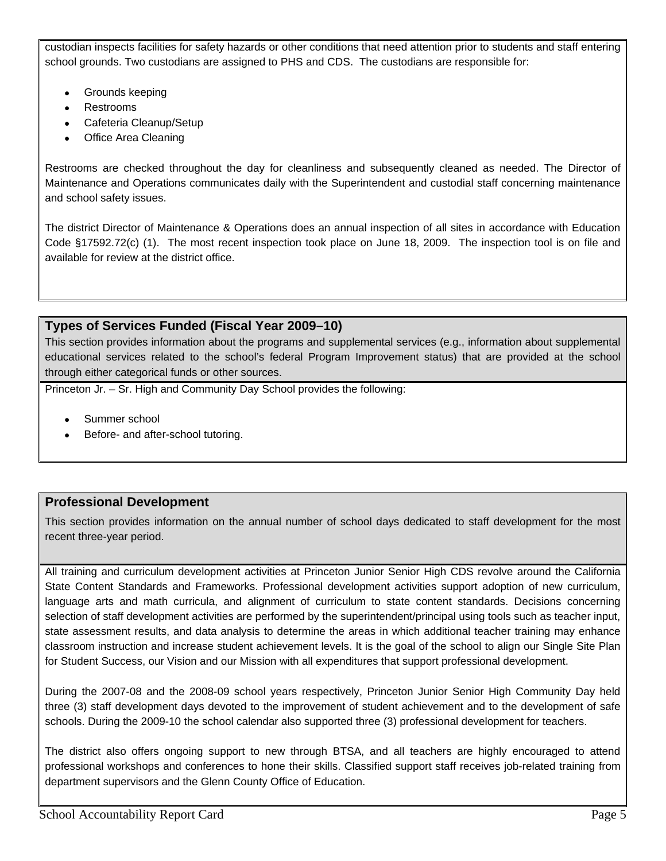custodian inspects facilities for safety hazards or other conditions that need attention prior to students and staff entering school grounds. Two custodians are assigned to PHS and CDS. The custodians are responsible for:

- Grounds keeping
- Restrooms
- Cafeteria Cleanup/Setup
- Office Area Cleaning

Restrooms are checked throughout the day for cleanliness and subsequently cleaned as needed. The Director of Maintenance and Operations communicates daily with the Superintendent and custodial staff concerning maintenance and school safety issues.

The district Director of Maintenance & Operations does an annual inspection of all sites in accordance with Education Code §17592.72(c) (1). The most recent inspection took place on June 18, 2009. The inspection tool is on file and available for review at the district office.

## **Types of Services Funded (Fiscal Year 2009–10)**

This section provides information about the programs and supplemental services (e.g., information about supplemental educational services related to the school's federal Program Improvement status) that are provided at the school through either categorical funds or other sources.

Princeton Jr. – Sr. High and Community Day School provides the following:

- Summer school
- Before- and after-school tutoring.

## **Professional Development**

This section provides information on the annual number of school days dedicated to staff development for the most recent three-year period.

All training and curriculum development activities at Princeton Junior Senior High CDS revolve around the California State Content Standards and Frameworks. Professional development activities support adoption of new curriculum, language arts and math curricula, and alignment of curriculum to state content standards. Decisions concerning selection of staff development activities are performed by the superintendent/principal using tools such as teacher input, state assessment results, and data analysis to determine the areas in which additional teacher training may enhance classroom instruction and increase student achievement levels. It is the goal of the school to align our Single Site Plan for Student Success, our Vision and our Mission with all expenditures that support professional development.

During the 2007-08 and the 2008-09 school years respectively, Princeton Junior Senior High Community Day held three (3) staff development days devoted to the improvement of student achievement and to the development of safe schools. During the 2009-10 the school calendar also supported three (3) professional development for teachers.

The district also offers ongoing support to new through BTSA, and all teachers are highly encouraged to attend professional workshops and conferences to hone their skills. Classified support staff receives job-related training from department supervisors and the Glenn County Office of Education.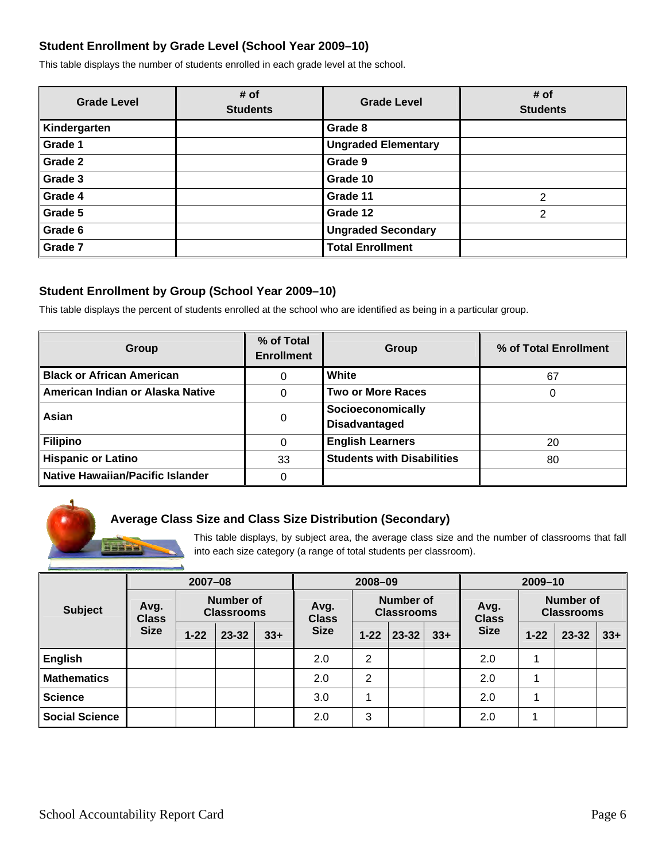### **Student Enrollment by Grade Level (School Year 2009–10)**

This table displays the number of students enrolled in each grade level at the school.

| <b>Grade Level</b> | # of<br><b>Students</b> | <b>Grade Level</b>         | # of<br><b>Students</b> |
|--------------------|-------------------------|----------------------------|-------------------------|
| Kindergarten       |                         | Grade 8                    |                         |
| Grade 1            |                         | <b>Ungraded Elementary</b> |                         |
| Grade 2            |                         | Grade 9                    |                         |
| Grade 3            |                         | Grade 10                   |                         |
| Grade 4            |                         | Grade 11                   | $\overline{2}$          |
| Grade 5            |                         | Grade 12                   | $\overline{2}$          |
| Grade 6            |                         | <b>Ungraded Secondary</b>  |                         |
| Grade 7            |                         | <b>Total Enrollment</b>    |                         |

### **Student Enrollment by Group (School Year 2009–10)**

This table displays the percent of students enrolled at the school who are identified as being in a particular group.

| Group                                   | % of Total<br><b>Enrollment</b> | Group                                     | % of Total Enrollment |
|-----------------------------------------|---------------------------------|-------------------------------------------|-----------------------|
| <b>Black or African American</b>        | 0                               | White                                     | 67                    |
| American Indian or Alaska Native        |                                 | <b>Two or More Races</b>                  |                       |
| Asian                                   | 0                               | Socioeconomically<br><b>Disadvantaged</b> |                       |
| <b>Filipino</b>                         |                                 | <b>English Learners</b>                   | 20                    |
| <b>Hispanic or Latino</b>               | 33                              | <b>Students with Disabilities</b>         | 80                    |
| <b>Native Hawaiian/Pacific Islander</b> |                                 |                                           |                       |

### **Average Class Size and Class Size Distribution (Secondary)**

This table displays, by subject area, the average class size and the number of classrooms that fall into each size category (a range of total students per classroom).

|                       | $2007 - 08$                                            |          |                      | 2008-09                               |             |                      | 2009-10                               |       |             |          |           |       |
|-----------------------|--------------------------------------------------------|----------|----------------------|---------------------------------------|-------------|----------------------|---------------------------------------|-------|-------------|----------|-----------|-------|
| <b>Subject</b>        | <b>Number of</b><br>Avg.<br><b>Classrooms</b><br>Class |          | Avg.<br><b>Class</b> | <b>Number of</b><br><b>Classrooms</b> |             | Avg.<br><b>Class</b> | <b>Number</b> of<br><b>Classrooms</b> |       |             |          |           |       |
|                       | <b>Size</b>                                            | $1 - 22$ | $23 - 32$            | $33+$                                 | <b>Size</b> | $1 - 22$             | $23 - 32$                             | $33+$ | <b>Size</b> | $1 - 22$ | $23 - 32$ | $33+$ |
| <b>English</b>        |                                                        |          |                      |                                       | 2.0         | $\overline{2}$       |                                       |       | 2.0         |          |           |       |
| <b>Mathematics</b>    |                                                        |          |                      |                                       | 2.0         | 2                    |                                       |       | 2.0         |          |           |       |
| <b>Science</b>        |                                                        |          |                      |                                       | 3.0         |                      |                                       |       | 2.0         |          |           |       |
| <b>Social Science</b> |                                                        |          |                      |                                       | 2.0         | 3                    |                                       |       | 2.0         |          |           |       |

**BUNGAR**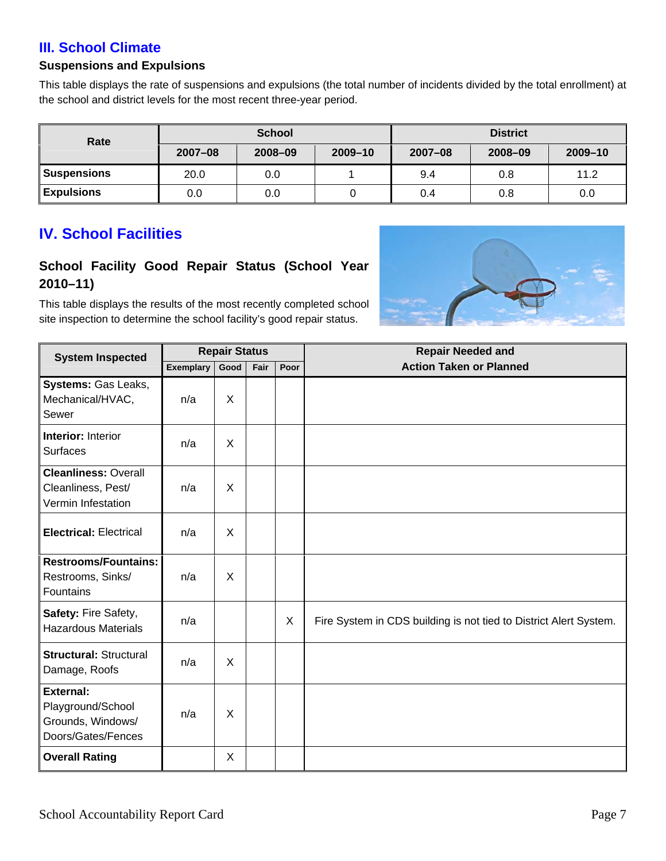## **III. School Climate**

### **Suspensions and Expulsions**

This table displays the rate of suspensions and expulsions (the total number of incidents divided by the total enrollment) at the school and district levels for the most recent three-year period.

| Rate               |             | <b>School</b> |         | <b>District</b> |         |         |  |
|--------------------|-------------|---------------|---------|-----------------|---------|---------|--|
|                    | $2007 - 08$ | 2008-09       | 2009-10 | $2007 - 08$     | 2008-09 | 2009-10 |  |
| <b>Suspensions</b> | 20.0        | 0.0           |         | 9.4             | 0.8     | 11.2    |  |
| <b>Expulsions</b>  | 0.0         | 0.0           |         | 0.4             | 0.8     | 0.0     |  |

# **IV. School Facilities**

## **School Facility Good Repair Status (School Year 2010–11)**

This table displays the results of the most recently completed school site inspection to determine the school facility's good repair status.



| <b>System Inspected</b>                                                          |                  | <b>Repair Status</b> |      |      | <b>Repair Needed and</b>                                          |
|----------------------------------------------------------------------------------|------------------|----------------------|------|------|-------------------------------------------------------------------|
|                                                                                  | <b>Exemplary</b> | Good                 | Fair | Poor | <b>Action Taken or Planned</b>                                    |
| Systems: Gas Leaks,<br>Mechanical/HVAC,<br>Sewer                                 | n/a              | X                    |      |      |                                                                   |
| <b>Interior: Interior</b><br><b>Surfaces</b>                                     | n/a              | X                    |      |      |                                                                   |
| <b>Cleanliness: Overall</b><br>Cleanliness, Pest/<br>Vermin Infestation          | n/a              | X                    |      |      |                                                                   |
| <b>Electrical: Electrical</b>                                                    | n/a              | X                    |      |      |                                                                   |
| <b>Restrooms/Fountains:</b><br>Restrooms, Sinks/<br>Fountains                    | n/a              | X                    |      |      |                                                                   |
| Safety: Fire Safety,<br><b>Hazardous Materials</b>                               | n/a              |                      |      | X    | Fire System in CDS building is not tied to District Alert System. |
| <b>Structural: Structural</b><br>Damage, Roofs                                   | n/a              | X                    |      |      |                                                                   |
| <b>External:</b><br>Playground/School<br>Grounds, Windows/<br>Doors/Gates/Fences | n/a              | X                    |      |      |                                                                   |
| <b>Overall Rating</b>                                                            |                  | X                    |      |      |                                                                   |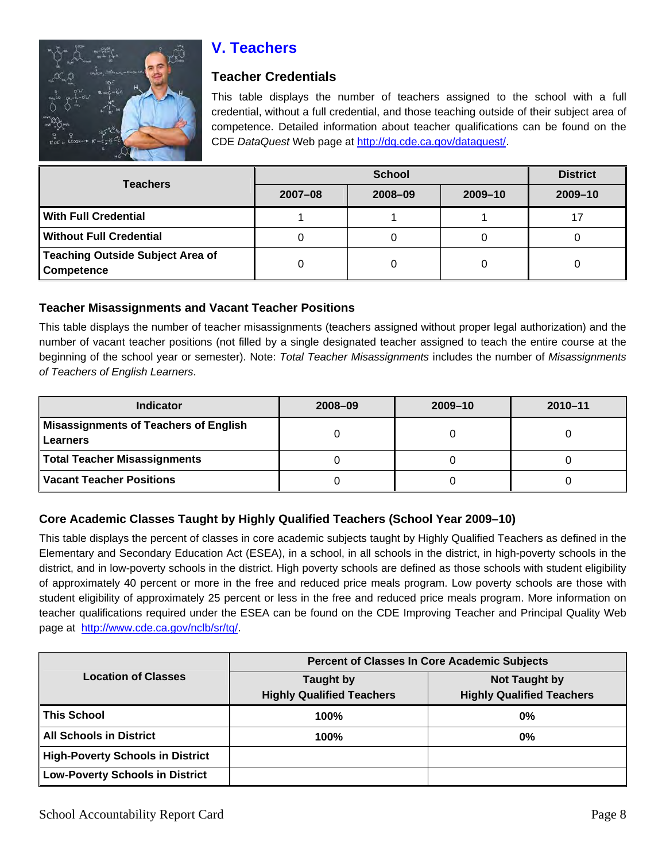

# **V. Teachers**

## **Teacher Credentials**

This table displays the number of teachers assigned to the school with a full credential, without a full credential, and those teaching outside of their subject area of competence. Detailed information about teacher qualifications can be found on the CDE *DataQuest* Web page at<http://dq.cde.ca.gov/dataquest/>.

| <b>Teachers</b>                                       |         | <b>District</b> |             |         |
|-------------------------------------------------------|---------|-----------------|-------------|---------|
|                                                       | 2007-08 | 2008-09         | $2009 - 10$ | 2009-10 |
| <b>With Full Credential</b>                           |         |                 |             | 17      |
| <b>Without Full Credential</b>                        |         |                 |             |         |
| <b>Teaching Outside Subject Area of</b><br>Competence |         |                 |             |         |

### **Teacher Misassignments and Vacant Teacher Positions**

This table displays the number of teacher misassignments (teachers assigned without proper legal authorization) and the number of vacant teacher positions (not filled by a single designated teacher assigned to teach the entire course at the beginning of the school year or semester). Note: *Total Teacher Misassignments* includes the number of *Misassignments of Teachers of English Learners*.

| <b>Indicator</b>                             | 2008-09 | $2009 - 10$ | $2010 - 11$ |
|----------------------------------------------|---------|-------------|-------------|
| <b>Misassignments of Teachers of English</b> |         |             |             |
| Learners                                     |         |             |             |
| <b>Total Teacher Misassignments</b>          |         |             |             |
| <b>Vacant Teacher Positions</b>              |         |             |             |

## **Core Academic Classes Taught by Highly Qualified Teachers (School Year 2009–10)**

This table displays the percent of classes in core academic subjects taught by Highly Qualified Teachers as defined in the Elementary and Secondary Education Act (ESEA), in a school, in all schools in the district, in high-poverty schools in the district, and in low-poverty schools in the district. High poverty schools are defined as those schools with student eligibility of approximately 40 percent or more in the free and reduced price meals program. Low poverty schools are those with student eligibility of approximately 25 percent or less in the free and reduced price meals program. More information on teacher qualifications required under the ESEA can be found on the CDE Improving Teacher and Principal Quality Web page at [http://www.cde.ca.gov/nclb/sr/tq/.](http://www.cde.ca.gov/nclb/sr/tq/)

|                                         | <b>Percent of Classes In Core Academic Subjects</b>  |                                                          |  |  |  |
|-----------------------------------------|------------------------------------------------------|----------------------------------------------------------|--|--|--|
| <b>Location of Classes</b>              | <b>Taught by</b><br><b>Highly Qualified Teachers</b> | <b>Not Taught by</b><br><b>Highly Qualified Teachers</b> |  |  |  |
| <b>This School</b>                      | 100%                                                 | $0\%$                                                    |  |  |  |
| <b>All Schools in District</b>          | 100%                                                 | $0\%$                                                    |  |  |  |
| <b>High-Poverty Schools in District</b> |                                                      |                                                          |  |  |  |
| <b>Low-Poverty Schools in District</b>  |                                                      |                                                          |  |  |  |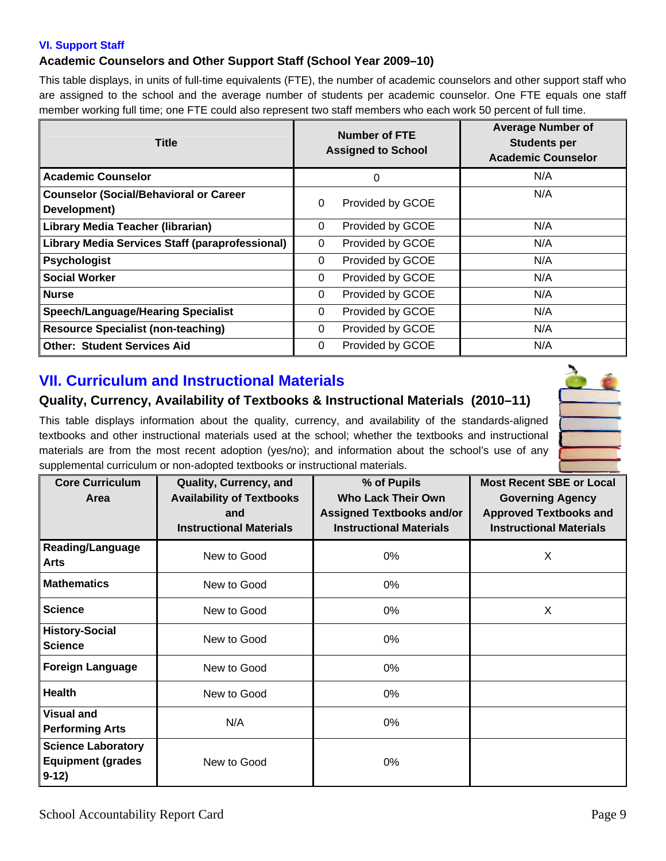#### **VI. Support Staff**

#### **Academic Counselors and Other Support Staff (School Year 2009–10)**

This table displays, in units of full-time equivalents (FTE), the number of academic counselors and other support staff who are assigned to the school and the average number of students per academic counselor. One FTE equals one staff member working full time; one FTE could also represent two staff members who each work 50 percent of full time.

| <b>Title</b>                                                  | <b>Number of FTE</b><br><b>Assigned to School</b> | <b>Average Number of</b><br><b>Students per</b><br><b>Academic Counselor</b> |
|---------------------------------------------------------------|---------------------------------------------------|------------------------------------------------------------------------------|
| <b>Academic Counselor</b>                                     | 0                                                 | N/A                                                                          |
| <b>Counselor (Social/Behavioral or Career</b><br>Development) | Provided by GCOE<br>$\Omega$                      | N/A                                                                          |
| <b>Library Media Teacher (librarian)</b>                      | Provided by GCOE<br>0                             | N/A                                                                          |
| Library Media Services Staff (paraprofessional)               | Provided by GCOE<br>0                             | N/A                                                                          |
| <b>Psychologist</b>                                           | Provided by GCOE<br>$\Omega$                      | N/A                                                                          |
| <b>Social Worker</b>                                          | Provided by GCOE<br>$\Omega$                      | N/A                                                                          |
| <b>Nurse</b>                                                  | Provided by GCOE<br>0                             | N/A                                                                          |
| <b>Speech/Language/Hearing Specialist</b>                     | Provided by GCOE<br>0                             | N/A                                                                          |
| <b>Resource Specialist (non-teaching)</b>                     | Provided by GCOE<br>$\Omega$                      | N/A                                                                          |
| <b>Other: Student Services Aid</b>                            | Provided by GCOE<br>$\Omega$                      | N/A                                                                          |

## **VII. Curriculum and Instructional Materials**

## **Quality, Currency, Availability of Textbooks & Instructional Materials (2010–11)**

This table displays information about the quality, currency, and availability of the standards-aligned textbooks and other instructional materials used at the school; whether the textbooks and instructional materials are from the most recent adoption (yes/no); and information about the school's use of any supplemental curriculum or non-adopted textbooks or instructional materials.



| <b>Core Curriculum</b><br>Area                                   | Quality, Currency, and<br><b>Availability of Textbooks</b><br>and<br><b>Instructional Materials</b> | % of Pupils<br><b>Who Lack Their Own</b><br><b>Assigned Textbooks and/or</b><br><b>Instructional Materials</b> | <b>Most Recent SBE or Local</b><br><b>Governing Agency</b><br><b>Approved Textbooks and</b><br><b>Instructional Materials</b> |
|------------------------------------------------------------------|-----------------------------------------------------------------------------------------------------|----------------------------------------------------------------------------------------------------------------|-------------------------------------------------------------------------------------------------------------------------------|
| <b>Reading/Language</b><br><b>Arts</b>                           | New to Good                                                                                         | $0\%$                                                                                                          | X                                                                                                                             |
| <b>Mathematics</b>                                               | New to Good                                                                                         | $0\%$                                                                                                          |                                                                                                                               |
| <b>Science</b>                                                   | New to Good                                                                                         | 0%                                                                                                             | X                                                                                                                             |
| <b>History-Social</b><br><b>Science</b>                          | New to Good                                                                                         | $0\%$                                                                                                          |                                                                                                                               |
| <b>Foreign Language</b>                                          | New to Good                                                                                         | $0\%$                                                                                                          |                                                                                                                               |
| <b>Health</b>                                                    | New to Good                                                                                         | 0%                                                                                                             |                                                                                                                               |
| <b>Visual and</b><br><b>Performing Arts</b>                      | N/A                                                                                                 | $0\%$                                                                                                          |                                                                                                                               |
| <b>Science Laboratory</b><br><b>Equipment (grades</b><br>$9-12)$ | New to Good                                                                                         | $0\%$                                                                                                          |                                                                                                                               |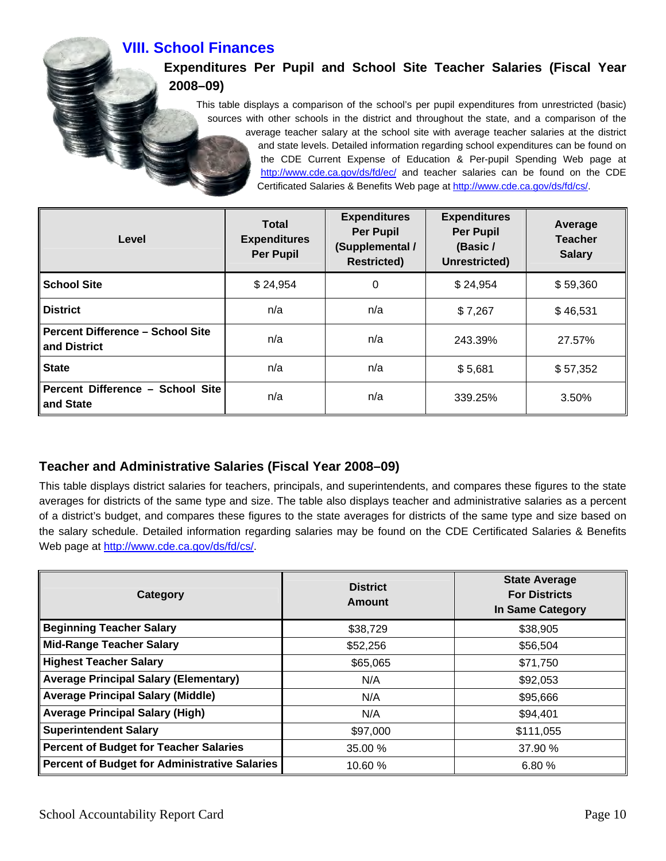**VIII. School Finances** 

## **Expenditures Per Pupil and School Site Teacher Salaries (Fiscal Year 2008–09)**

This table displays a comparison of the school's per pupil expenditures from unrestricted (basic) sources with other schools in the district and throughout the state, and a comparison of the average teacher salary at the school site with average teacher salaries at the district and state levels. Detailed information regarding school expenditures can be found on the CDE Current Expense of Education & Per-pupil Spending Web page at <http://www.cde.ca.gov/ds/fd/ec/> and teacher salaries can be found on the CDE Certificated Salaries & Benefits Web page at [http://www.cde.ca.gov/ds/fd/cs/.](http://www.cde.ca.gov/ds/fd/cs/)

| Level                                                   | <b>Total</b><br><b>Expenditures</b><br><b>Per Pupil</b> | <b>Expenditures</b><br><b>Per Pupil</b><br>(Supplemental /<br><b>Restricted)</b> | <b>Expenditures</b><br><b>Per Pupil</b><br>(Basic /<br>Unrestricted) | Average<br><b>Teacher</b><br><b>Salary</b> |
|---------------------------------------------------------|---------------------------------------------------------|----------------------------------------------------------------------------------|----------------------------------------------------------------------|--------------------------------------------|
| <b>School Site</b>                                      | \$24,954                                                | 0                                                                                | \$24,954                                                             | \$59,360                                   |
| <b>District</b>                                         | n/a                                                     | n/a                                                                              | \$7,267                                                              | \$46,531                                   |
| <b>Percent Difference - School Site</b><br>and District | n/a                                                     | n/a                                                                              | 243.39%                                                              | 27.57%                                     |
| <b>State</b>                                            | n/a                                                     | n/a                                                                              | \$5,681                                                              | \$57,352                                   |
| Percent Difference - School Site<br>and State           | n/a                                                     | n/a                                                                              | 339.25%                                                              | 3.50%                                      |

## **Teacher and Administrative Salaries (Fiscal Year 2008–09)**

This table displays district salaries for teachers, principals, and superintendents, and compares these figures to the state averages for districts of the same type and size. The table also displays teacher and administrative salaries as a percent of a district's budget, and compares these figures to the state averages for districts of the same type and size based on the salary schedule. Detailed information regarding salaries may be found on the CDE Certificated Salaries & Benefits Web page at<http://www.cde.ca.gov/ds/fd/cs/>.

| Category                                      | <b>District</b><br><b>Amount</b> | <b>State Average</b><br><b>For Districts</b><br><b>In Same Category</b> |  |
|-----------------------------------------------|----------------------------------|-------------------------------------------------------------------------|--|
| <b>Beginning Teacher Salary</b>               | \$38,729                         | \$38,905                                                                |  |
| <b>Mid-Range Teacher Salary</b>               | \$52,256                         | \$56,504                                                                |  |
| <b>Highest Teacher Salary</b>                 | \$65,065                         | \$71,750                                                                |  |
| <b>Average Principal Salary (Elementary)</b>  | N/A                              | \$92,053                                                                |  |
| <b>Average Principal Salary (Middle)</b>      | N/A                              | \$95,666                                                                |  |
| <b>Average Principal Salary (High)</b>        | N/A                              | \$94,401                                                                |  |
| <b>Superintendent Salary</b>                  | \$97,000                         | \$111,055                                                               |  |
| <b>Percent of Budget for Teacher Salaries</b> | 35.00 %                          | 37.90 %                                                                 |  |
| Percent of Budget for Administrative Salaries | 10.60 %                          | 6.80%                                                                   |  |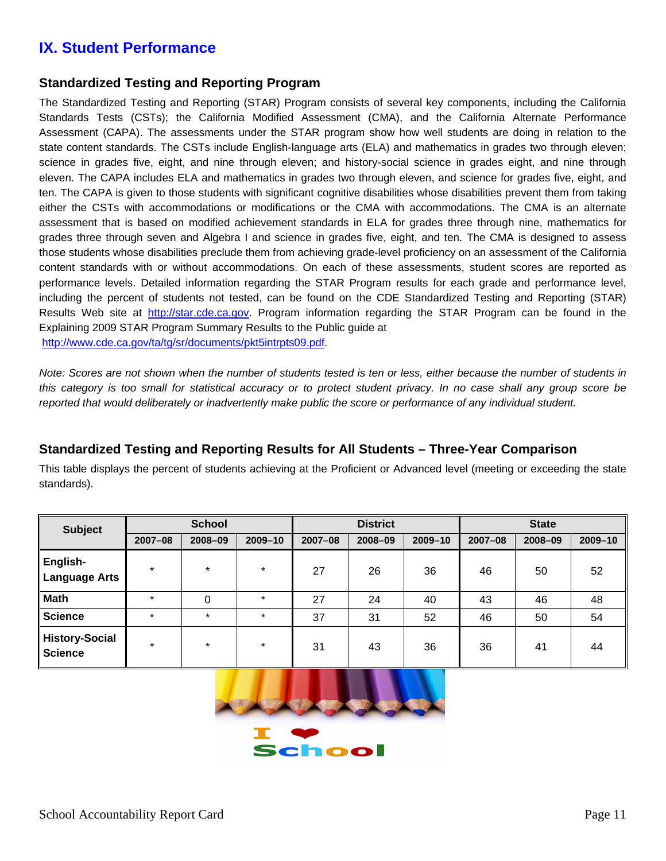## **IX. Student Performance**

### **Standardized Testing and Reporting Program**

The Standardized Testing and Reporting (STAR) Program consists of several key components, including the California Standards Tests (CSTs); the California Modified Assessment (CMA), and the California Alternate Performance Assessment (CAPA). The assessments under the STAR program show how well students are doing in relation to the state content standards. The CSTs include English-language arts (ELA) and mathematics in grades two through eleven; science in grades five, eight, and nine through eleven; and history-social science in grades eight, and nine through eleven. The CAPA includes ELA and mathematics in grades two through eleven, and science for grades five, eight, and ten. The CAPA is given to those students with significant cognitive disabilities whose disabilities prevent them from taking either the CSTs with accommodations or modifications or the CMA with accommodations. The CMA is an alternate assessment that is based on modified achievement standards in ELA for grades three through nine, mathematics for grades three through seven and Algebra I and science in grades five, eight, and ten. The CMA is designed to assess those students whose disabilities preclude them from achieving grade-level proficiency on an assessment of the California content standards with or without accommodations. On each of these assessments, student scores are reported as performance levels. Detailed information regarding the STAR Program results for each grade and performance level, including the percent of students not tested, can be found on the CDE Standardized Testing and Reporting (STAR) Results Web site at [http://star.cde.ca.gov.](http://star.cde.ca.gov/) Program information regarding the STAR Program can be found in the Explaining 2009 STAR Program Summary Results to the Public guide at <http://www.cde.ca.gov/ta/tg/sr/documents/pkt5intrpts09.pdf>.

*Note: Scores are not shown when the number of students tested is ten or less, either because the number of students in this category is too small for statistical accuracy or to protect student privacy. In no case shall any group score be reported that would deliberately or inadvertently make public the score or performance of any individual student.*

### **Standardized Testing and Reporting Results for All Students – Three-Year Comparison**

This table displays the percent of students achieving at the Proficient or Advanced level (meeting or exceeding the state standards).

| <b>Subject</b>                          | <b>School</b> |         |         | <b>District</b> |         |         | <b>State</b> |         |         |
|-----------------------------------------|---------------|---------|---------|-----------------|---------|---------|--------------|---------|---------|
|                                         | $2007 - 08$   | 2008-09 | 2009-10 | $2007 - 08$     | 2008-09 | 2009-10 | 2007-08      | 2008-09 | 2009-10 |
| English-<br><b>Language Arts</b>        | $\star$       | $\star$ | $\star$ | 27              | 26      | 36      | 46           | 50      | 52      |
| <b>Math</b>                             | $\star$       | 0       | $\star$ | 27              | 24      | 40      | 43           | 46      | 48      |
| <b>Science</b>                          | $\star$       | $\star$ | $\star$ | 37              | 31      | 52      | 46           | 50      | 54      |
| <b>History-Social</b><br><b>Science</b> | $\ast$        | $\star$ | $\ast$  | 31              | 43      | 36      | 36           | 41      | 44      |



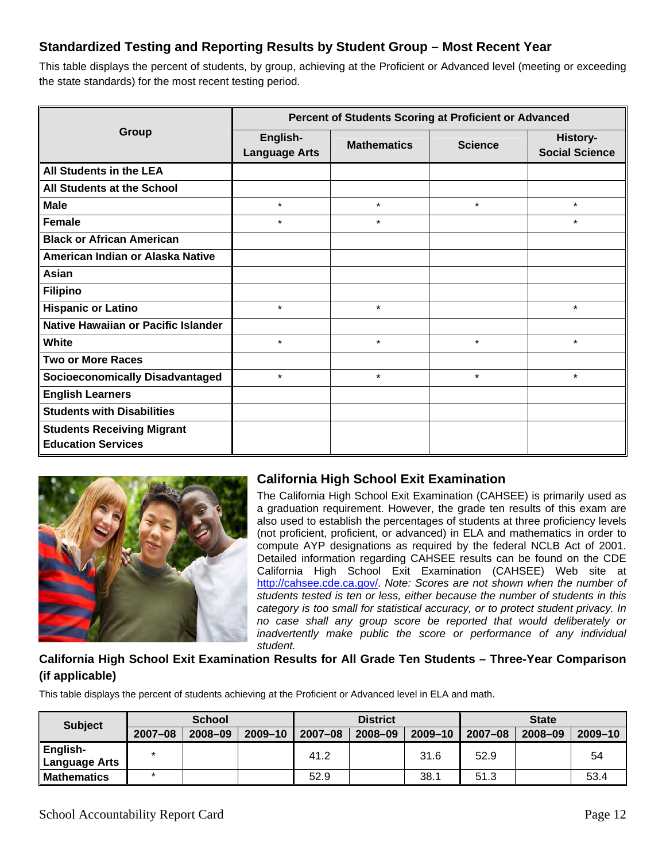## **Standardized Testing and Reporting Results by Student Group – Most Recent Year**

This table displays the percent of students, by group, achieving at the Proficient or Advanced level (meeting or exceeding the state standards) for the most recent testing period.

|                                                                |                                  | Percent of Students Scoring at Proficient or Advanced |                |                                          |
|----------------------------------------------------------------|----------------------------------|-------------------------------------------------------|----------------|------------------------------------------|
| Group                                                          | English-<br><b>Language Arts</b> | <b>Mathematics</b>                                    | <b>Science</b> | <b>History-</b><br><b>Social Science</b> |
| All Students in the LEA                                        |                                  |                                                       |                |                                          |
| All Students at the School                                     |                                  |                                                       |                |                                          |
| <b>Male</b>                                                    | $\star$                          | $\star$                                               | $\star$        | $\star$                                  |
| Female                                                         | $\star$                          | $\star$                                               |                | $\star$                                  |
| <b>Black or African American</b>                               |                                  |                                                       |                |                                          |
| American Indian or Alaska Native                               |                                  |                                                       |                |                                          |
| Asian                                                          |                                  |                                                       |                |                                          |
| <b>Filipino</b>                                                |                                  |                                                       |                |                                          |
| <b>Hispanic or Latino</b>                                      | $\star$                          | $\star$                                               |                | $\star$                                  |
| <b>Native Hawaiian or Pacific Islander</b>                     |                                  |                                                       |                |                                          |
| White                                                          | $\star$                          | $\star$                                               | $\star$        | $\star$                                  |
| <b>Two or More Races</b>                                       |                                  |                                                       |                |                                          |
| <b>Socioeconomically Disadvantaged</b>                         | $\star$                          | $\star$                                               | $\star$        | $\star$                                  |
| <b>English Learners</b>                                        |                                  |                                                       |                |                                          |
| <b>Students with Disabilities</b>                              |                                  |                                                       |                |                                          |
| <b>Students Receiving Migrant</b><br><b>Education Services</b> |                                  |                                                       |                |                                          |



## **California High School Exit Examination**

The California High School Exit Examination (CAHSEE) is primarily used as a graduation requirement. However, the grade ten results of this exam are also used to establish the percentages of students at three proficiency levels (not proficient, proficient, or advanced) in ELA and mathematics in order to compute AYP designations as required by the federal NCLB Act of 2001. Detailed information regarding CAHSEE results can be found on the CDE California High School Exit Examination (CAHSEE) Web site at [http://cahsee.cde.ca.gov/.](http://cahsee.cde.ca.gov/) *Note: Scores are not shown when the number of students tested is ten or less, either because the number of students in this category is too small for statistical accuracy, or to protect student privacy. In no case shall any group score be reported that would deliberately or inadvertently make public the score or performance of any individual student.* 

### **California High School Exit Examination Results for All Grade Ten Students – Three-Year Comparison (if applicable)**

This table displays the percent of students achieving at the Proficient or Advanced level in ELA and math.

| <b>Subject</b>                   | <b>School</b> |         |             | <b>District</b> |         |         | <b>State</b> |         |         |
|----------------------------------|---------------|---------|-------------|-----------------|---------|---------|--------------|---------|---------|
|                                  | $2007 - 08$   | 2008-09 | $2009 - 10$ | $2007 - 08$     | 2008-09 | 2009-10 | $2007 - 08$  | 2008-09 | 2009-10 |
| English-<br><b>Language Arts</b> |               |         |             | 41.2            |         | 31.6    | 52.9         |         | 54      |
| <b>Mathematics</b>               |               |         |             | 52.9            |         | 38.1    | 51.3         |         | 53.4    |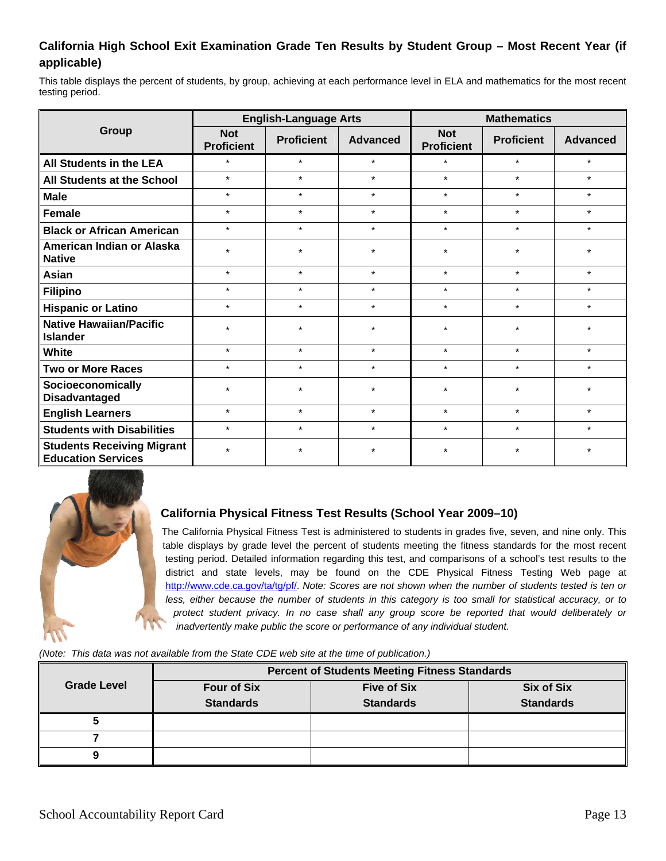### **California High School Exit Examination Grade Ten Results by Student Group – Most Recent Year (if applicable)**

This table displays the percent of students, by group, achieving at each performance level in ELA and mathematics for the most recent testing period.

|                                                                |                                 | <b>English-Language Arts</b> |                 | <b>Mathematics</b>              |                   |                 |  |
|----------------------------------------------------------------|---------------------------------|------------------------------|-----------------|---------------------------------|-------------------|-----------------|--|
| <b>Group</b>                                                   | <b>Not</b><br><b>Proficient</b> | <b>Proficient</b>            | <b>Advanced</b> | <b>Not</b><br><b>Proficient</b> | <b>Proficient</b> | <b>Advanced</b> |  |
| All Students in the LEA                                        | $\star$                         | $\star$                      | $\star$         | $\star$                         | $\star$           | $\star$         |  |
| All Students at the School                                     | $\star$                         | $\star$                      | $\star$         | $\star$                         | $\star$           | $\star$         |  |
| <b>Male</b>                                                    | $\star$                         | $\star$                      | $\star$         | $\star$                         | $\star$           | $\star$         |  |
| Female                                                         | $\star$                         | $\star$                      | $\star$         | $\star$                         | $\star$           | $\star$         |  |
| <b>Black or African American</b>                               | $\star$                         | $\star$                      | $\star$         | $\star$                         | $\star$           | $\star$         |  |
| American Indian or Alaska<br><b>Native</b>                     | $\star$                         | $\ast$                       | $\star$         | $\star$                         | $\star$           | $\star$         |  |
| Asian                                                          | $\star$                         | $\star$                      | $\star$         | $\star$                         | $\star$           | $\star$         |  |
| <b>Filipino</b>                                                | $\star$                         | $\star$                      | $\star$         | $\star$                         | $\star$           | $\star$         |  |
| <b>Hispanic or Latino</b>                                      | $\star$                         | $\star$                      | $\star$         | $\star$                         | $\star$           | $\star$         |  |
| <b>Native Hawaiian/Pacific</b><br><b>Islander</b>              | $\star$                         | $\star$                      | $\star$         | $\star$                         | $\star$           | $\star$         |  |
| <b>White</b>                                                   | $\star$                         | $\star$                      | $\star$         | $\star$                         | $\star$           | $\star$         |  |
| <b>Two or More Races</b>                                       | $\star$                         | $\star$                      | $\star$         | $\star$                         | $\star$           | $\star$         |  |
| Socioeconomically<br><b>Disadvantaged</b>                      | $\star$                         | $\star$                      | $\star$         | $\star$                         | $\star$           | $\star$         |  |
| <b>English Learners</b>                                        | $\star$                         | $\star$                      | $\star$         | $\star$                         | $\star$           | $\star$         |  |
| <b>Students with Disabilities</b>                              | $\star$                         | $\star$                      | $\star$         | $\star$                         | $\star$           | $\star$         |  |
| <b>Students Receiving Migrant</b><br><b>Education Services</b> | $\star$                         | $\star$                      | $\star$         | $\star$                         | $\star$           | $\star$         |  |



### **California Physical Fitness Test Results (School Year 2009–10)**

The California Physical Fitness Test is administered to students in grades five, seven, and nine only. This table displays by grade level the percent of students meeting the fitness standards for the most recent testing period. Detailed information regarding this test, and comparisons of a school's test results to the district and state levels, may be found on the CDE Physical Fitness Testing Web page at [http://www.cde.ca.gov/ta/tg/pf/.](http://www.cde.ca.gov/ta/tg/pf/) *Note: Scores are not shown when the number of students tested is ten or less, either because the number of students in this category is too small for statistical accuracy, or to protect student privacy. In no case shall any group score be reported that would deliberately or inadvertently make public the score or performance of any individual student.* 

*(Note: This data was not available from the State CDE web site at the time of publication.)*

|                    | <b>Percent of Students Meeting Fitness Standards</b> |                    |                   |  |  |  |
|--------------------|------------------------------------------------------|--------------------|-------------------|--|--|--|
| <b>Grade Level</b> | <b>Four of Six</b>                                   | <b>Five of Six</b> | <b>Six of Six</b> |  |  |  |
|                    | <b>Standards</b>                                     | <b>Standards</b>   | <b>Standards</b>  |  |  |  |
|                    |                                                      |                    |                   |  |  |  |
|                    |                                                      |                    |                   |  |  |  |
|                    |                                                      |                    |                   |  |  |  |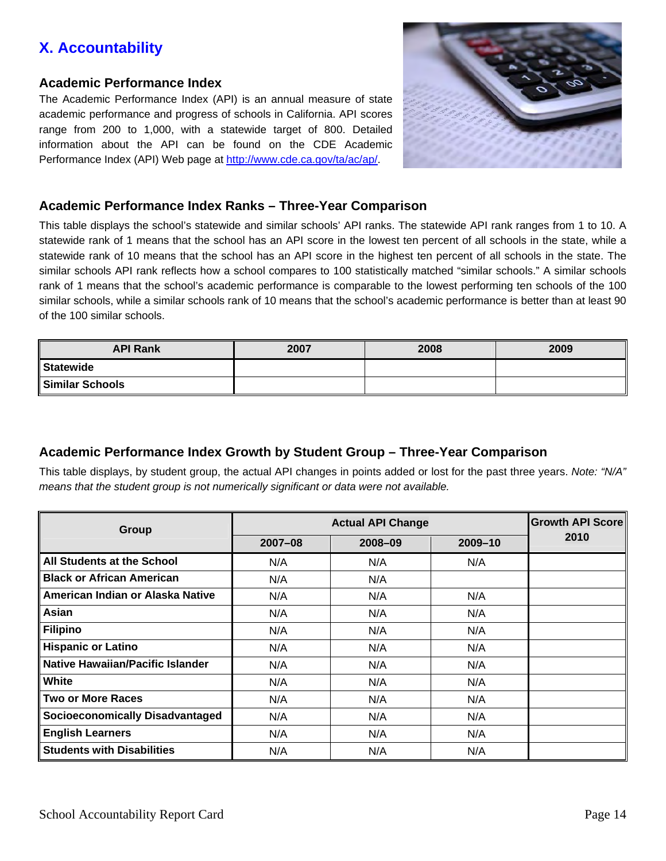# **X. Accountability**

#### **Academic Performance Index**

The Academic Performance Index (API) is an annual measure of state academic performance and progress of schools in California. API scores range from 200 to 1,000, with a statewide target of 800. Detailed information about the API can be found on the CDE Academic Performance Index (API) Web page at<http://www.cde.ca.gov/ta/ac/ap/>.



### **Academic Performance Index Ranks – Three-Year Comparison**

This table displays the school's statewide and similar schools' API ranks. The statewide API rank ranges from 1 to 10. A statewide rank of 1 means that the school has an API score in the lowest ten percent of all schools in the state, while a statewide rank of 10 means that the school has an API score in the highest ten percent of all schools in the state. The similar schools API rank reflects how a school compares to 100 statistically matched "similar schools." A similar schools rank of 1 means that the school's academic performance is comparable to the lowest performing ten schools of the 100 similar schools, while a similar schools rank of 10 means that the school's academic performance is better than at least 90 of the 100 similar schools.

| <b>API Rank</b> | 2007 | 2008 | 2009 |
|-----------------|------|------|------|
| Statewide       |      |      |      |
| Similar Schools |      |      |      |

## **Academic Performance Index Growth by Student Group – Three-Year Comparison**

This table displays, by student group, the actual API changes in points added or lost for the past three years. *Note: "N/A" means that the student group is not numerically significant or data were not available.*

| Group                                   |             | <b>Growth API Score</b> |         |      |
|-----------------------------------------|-------------|-------------------------|---------|------|
|                                         | $2007 - 08$ | 2008-09                 | 2009-10 | 2010 |
| All Students at the School              | N/A         | N/A                     | N/A     |      |
| <b>Black or African American</b>        | N/A         | N/A                     |         |      |
| American Indian or Alaska Native        | N/A         | N/A                     | N/A     |      |
| Asian                                   | N/A         | N/A                     | N/A     |      |
| <b>Filipino</b>                         | N/A         | N/A                     | N/A     |      |
| <b>Hispanic or Latino</b>               | N/A         | N/A                     | N/A     |      |
| <b>Native Hawaiian/Pacific Islander</b> | N/A         | N/A                     | N/A     |      |
| White                                   | N/A         | N/A                     | N/A     |      |
| <b>Two or More Races</b>                | N/A         | N/A                     | N/A     |      |
| <b>Socioeconomically Disadvantaged</b>  | N/A         | N/A                     | N/A     |      |
| <b>English Learners</b>                 | N/A         | N/A                     | N/A     |      |
| <b>Students with Disabilities</b>       | N/A         | N/A                     | N/A     |      |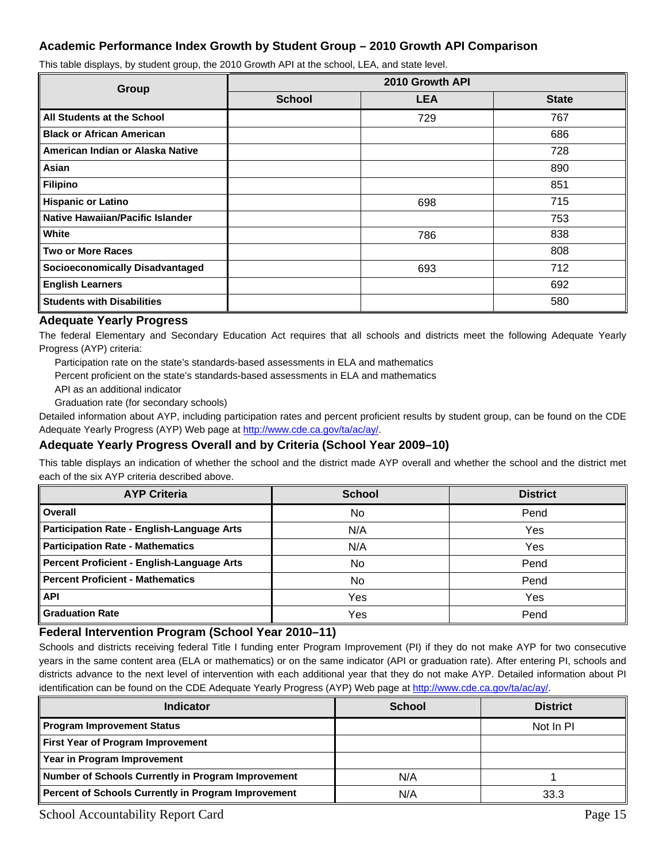#### **Academic Performance Index Growth by Student Group – 2010 Growth API Comparison**

This table displays, by student group, the 2010 Growth API at the school, LEA, and state level.

| <b>Group</b>                           | 2010 Growth API |            |              |  |  |  |  |
|----------------------------------------|-----------------|------------|--------------|--|--|--|--|
|                                        | <b>School</b>   | <b>LEA</b> | <b>State</b> |  |  |  |  |
| All Students at the School             |                 | 729        | 767          |  |  |  |  |
| <b>Black or African American</b>       |                 |            | 686          |  |  |  |  |
| American Indian or Alaska Native       |                 |            | 728          |  |  |  |  |
| Asian                                  |                 |            | 890          |  |  |  |  |
| Filipino                               |                 |            | 851          |  |  |  |  |
| <b>Hispanic or Latino</b>              |                 | 698        | 715          |  |  |  |  |
| Native Hawaiian/Pacific Islander       |                 |            | 753          |  |  |  |  |
| White                                  |                 | 786        | 838          |  |  |  |  |
| <b>Two or More Races</b>               |                 |            | 808          |  |  |  |  |
| <b>Socioeconomically Disadvantaged</b> |                 | 693        | 712          |  |  |  |  |
| <b>English Learners</b>                |                 |            | 692          |  |  |  |  |
| <b>Students with Disabilities</b>      |                 |            | 580          |  |  |  |  |

#### **Adequate Yearly Progress**

The federal Elementary and Secondary Education Act requires that all schools and districts meet the following Adequate Yearly Progress (AYP) criteria:

Participation rate on the state's standards-based assessments in ELA and mathematics

Percent proficient on the state's standards-based assessments in ELA and mathematics

API as an additional indicator

Graduation rate (for secondary schools)

Detailed information about AYP, including participation rates and percent proficient results by student group, can be found on the CDE Adequate Yearly Progress (AYP) Web page at <http://www.cde.ca.gov/ta/ac/ay/>.

#### **Adequate Yearly Progress Overall and by Criteria (School Year 2009–10)**

This table displays an indication of whether the school and the district made AYP overall and whether the school and the district met each of the six AYP criteria described above.

| <b>AYP Criteria</b>                        | <b>School</b> | <b>District</b> |
|--------------------------------------------|---------------|-----------------|
| Overall                                    | <b>No</b>     | Pend            |
| Participation Rate - English-Language Arts | N/A           | Yes             |
| Participation Rate - Mathematics           | N/A           | Yes             |
| Percent Proficient - English-Language Arts | No            | Pend            |
| Percent Proficient - Mathematics           | No            | Pend            |
| <b>API</b>                                 | Yes           | Yes             |
| <b>Graduation Rate</b>                     | Yes           | Pend            |

#### **Federal Intervention Program (School Year 2010–11)**

Schools and districts receiving federal Title I funding enter Program Improvement (PI) if they do not make AYP for two consecutive years in the same content area (ELA or mathematics) or on the same indicator (API or graduation rate). After entering PI, schools and districts advance to the next level of intervention with each additional year that they do not make AYP. Detailed information about PI identification can be found on the CDE Adequate Yearly Progress (AYP) Web page at <http://www.cde.ca.gov/ta/ac/ay/>.

| <b>Indicator</b>                                    | <b>School</b> | <b>District</b> |
|-----------------------------------------------------|---------------|-----------------|
| Program Improvement Status                          |               | Not In PI       |
| First Year of Program Improvement                   |               |                 |
| Year in Program Improvement                         |               |                 |
| Number of Schools Currently in Program Improvement  | N/A           |                 |
| Percent of Schools Currently in Program Improvement | N/A           | 33.3            |

School Accountability Report Card Page 15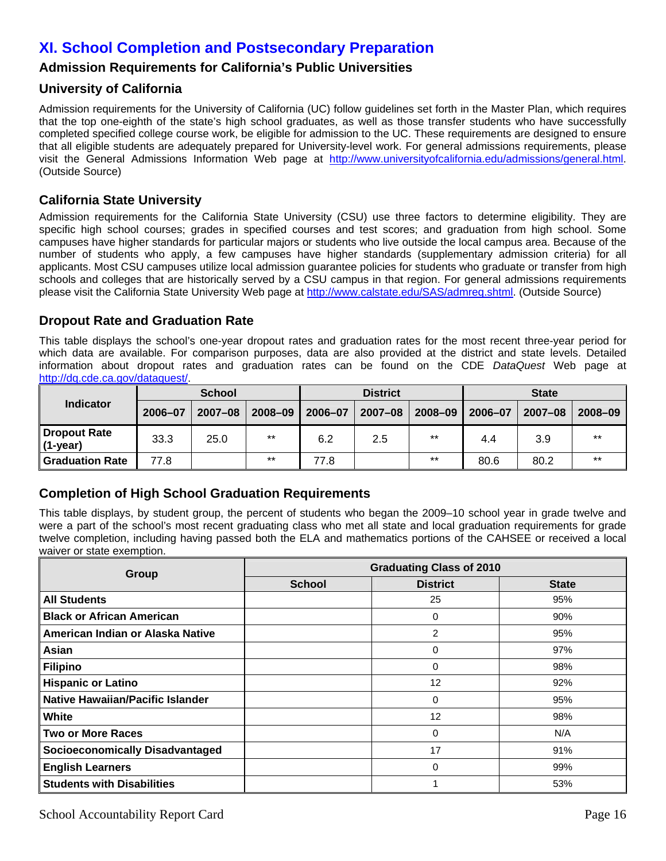# **XI. School Completion and Postsecondary Preparation**

### **Admission Requirements for California's Public Universities**

#### **University of California**

Admission requirements for the University of California (UC) follow guidelines set forth in the Master Plan, which requires that the top one-eighth of the state's high school graduates, as well as those transfer students who have successfully completed specified college course work, be eligible for admission to the UC. These requirements are designed to ensure that all eligible students are adequately prepared for University-level work. For general admissions requirements, please visit the General Admissions Information Web page at <http://www.universityofcalifornia.edu/admissions/general.html>. (Outside Source)

#### **[California State University](http://www.cde.ca.gov/ta/ac/sa/def08univreq.asp)**

Admission requirements for the California State University (CSU) use three factors to determine eligibility. They are specific high school courses; grades in specified courses and test scores; and graduation from high school. Some campuses have higher standards for particular majors or students who live outside the local campus area. Because of the number of students who apply, a few campuses have higher standards (supplementary admission criteria) for all applicants. Most CSU campuses utilize local admission guarantee policies for students who graduate or transfer from high schools and colleges that are historically served by a CSU campus in that region. For general admissions requirements please visit the California State University Web page at [http://www.calstate.edu/SAS/admreq.shtml.](http://www.calstate.edu/SAS/admreq.shtml) (Outside Source)

#### **Dropout Rate and Graduation Rate**

This table displays the school's one-year dropout rates and graduation rates for the most recent three-year period for which data are available. For comparison purposes, data are also provided at the district and state levels. Detailed information about dropout rates and graduation rates can be found on the CDE *DataQuest* Web page at [http://dq.cde.ca.gov/dataquest/.](http://dq.cde.ca.gov/dataquest/)

|                                   | <b>School</b> |             |         | <b>District</b> |         |         | <b>State</b> |             |         |
|-----------------------------------|---------------|-------------|---------|-----------------|---------|---------|--------------|-------------|---------|
| <b>Indicator</b>                  | 2006-07       | $2007 - 08$ | 2008-09 | 2006-07         | 2007-08 | 2008-09 | 2006-07      | $2007 - 08$ | 2008-09 |
| <b>Dropout Rate</b><br>$(1-year)$ | 33.3          | 25.0        | $***$   | 6.2             | 2.5     | $***$   | 4.4          | 3.9         | $***$   |
| <b>Graduation Rate</b>            | 77.8          |             | $***$   | 77.8            |         | $***$   | 80.6         | 80.2        | $***$   |

### **Completion of High School Graduation Requirements**

This table displays, by student group, the percent of students who began the 2009–10 school year in grade twelve and were a part of the school's most recent graduating class who met all state and local graduation requirements for grade twelve completion, including having passed both the ELA and mathematics portions of the CAHSEE or received a local waiver or state exemption.

| Group                                  | <b>Graduating Class of 2010</b> |                 |              |
|----------------------------------------|---------------------------------|-----------------|--------------|
|                                        | <b>School</b>                   | <b>District</b> | <b>State</b> |
| <b>All Students</b>                    |                                 | 25              | 95%          |
| <b>Black or African American</b>       |                                 | 0               | 90%          |
| American Indian or Alaska Native       |                                 | 2               | 95%          |
| Asian                                  |                                 | 0               | 97%          |
| <b>Filipino</b>                        |                                 | $\Omega$        | 98%          |
| <b>Hispanic or Latino</b>              |                                 | 12              | 92%          |
| Native Hawaiian/Pacific Islander       |                                 | 0               | 95%          |
| White                                  |                                 | 12              | 98%          |
| <b>Two or More Races</b>               |                                 | 0               | N/A          |
| <b>Socioeconomically Disadvantaged</b> |                                 | 17              | 91%          |
| <b>English Learners</b>                |                                 | 0               | 99%          |
| <b>Students with Disabilities</b>      |                                 |                 | 53%          |